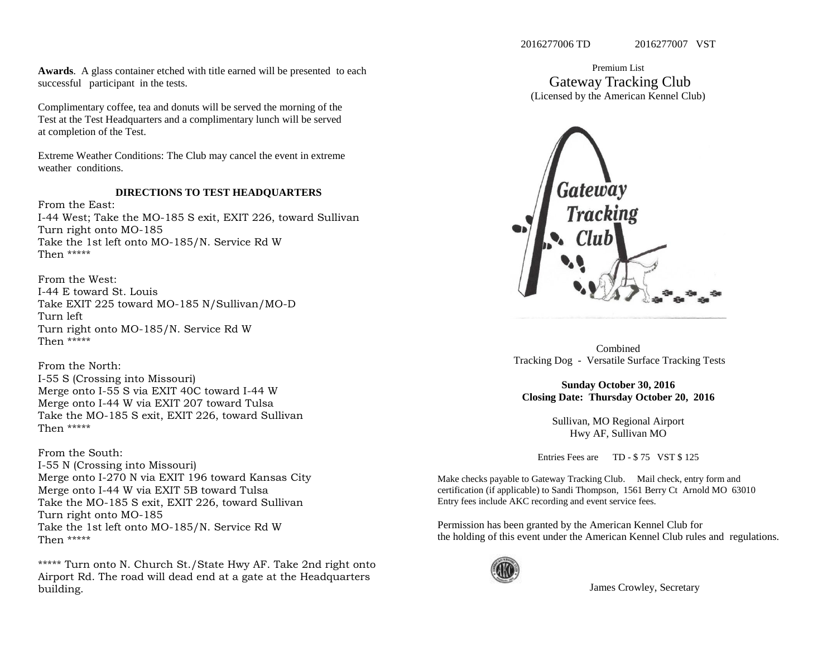**Awards**. A glass container etched with title earned will be presented to each successful participant in the tests.

Complimentary coffee, tea and donuts will be served the morning of the Test at the Test Headquarters and a complimentary lunch will be served at completion of the Test.

Extreme Weather Conditions: The Club may cancel the event in extreme weather conditions.

# **DIRECTIONS TO TEST HEADQUARTERS**

From the East: I-44 West; Take the MO-185 S exit, EXIT 226, toward Sullivan Turn right onto MO-185 Take the 1st left onto MO-185/N. Service Rd W Then \*\*\*\*\*

From the West: I-44 E toward St. Louis Take EXIT 225 toward MO-185 N/Sullivan/MO-D Turn left Turn right onto MO-185/N. Service Rd W Then \*\*\*\*\*

From the North: I-55 S (Crossing into Missouri) Merge onto I-55 S via EXIT 40C toward I-44 W Merge onto I-44 W via EXIT 207 toward Tulsa Take the MO-185 S exit, EXIT 226, toward Sullivan Then \*\*\*\*\*

From the South: I-55 N (Crossing into Missouri) Merge onto I-270 N via EXIT 196 toward Kansas City Merge onto I-44 W via EXIT 5B toward Tulsa Take the MO-185 S exit, EXIT 226, toward Sullivan Turn right onto MO-185 Take the 1st left onto MO-185/N. Service Rd W Then \*\*\*\*\*

\*\*\*\*\* Turn onto N. Church St./State Hwy AF. Take 2nd right onto Airport Rd. The road will dead end at a gate at the Headquarters building.

Premium List Gateway Tracking Club (Licensed by the American Kennel Club)



Combined Tracking Dog - Versatile Surface Tracking Tests

**Sunday October 30, 2016 Closing Date: Thursday October 20, 2016**

> Sullivan, MO Regional Airport Hwy AF, Sullivan MO

Entries Fees are TD - \$ 75 VST \$ 125

Make checks payable to Gateway Tracking Club. Mail check, entry form and certification (if applicable) to Sandi Thompson, 1561 Berry Ct Arnold MO 63010 Entry fees include AKC recording and event service fees.

Permission has been granted by the American Kennel Club for the holding of this event under the American Kennel Club rules and regulations.



James Crowley, Secretary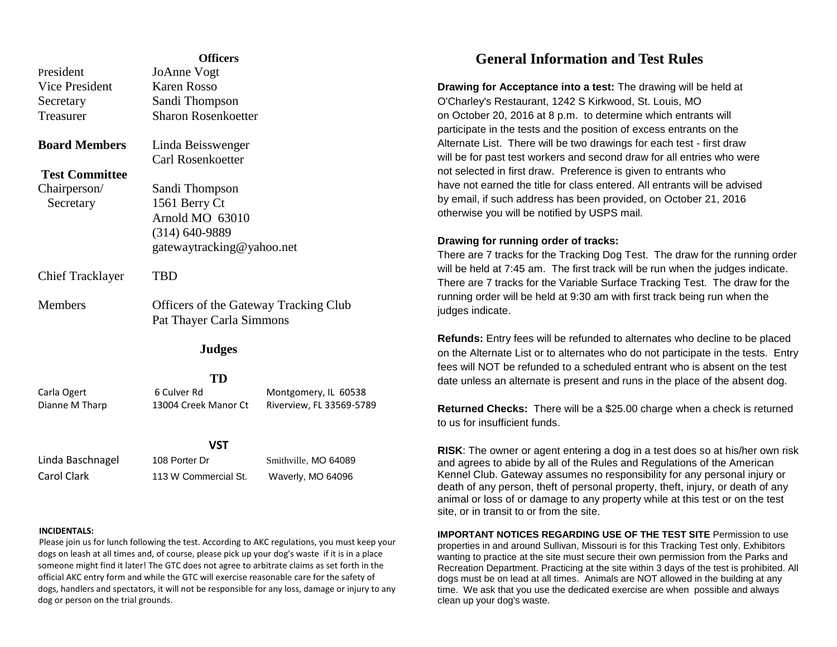|                         | <b>Officers</b>                              |                          |  |  |
|-------------------------|----------------------------------------------|--------------------------|--|--|
| President               | <b>JoAnne Vogt</b>                           |                          |  |  |
| Vice President          | <b>Karen Rosso</b>                           |                          |  |  |
| Secretary               | Sandi Thompson                               |                          |  |  |
| Treasurer               | <b>Sharon Rosenkoetter</b>                   |                          |  |  |
| <b>Board Members</b>    | Linda Beisswenger                            |                          |  |  |
|                         | Carl Rosenkoetter                            |                          |  |  |
| <b>Test Committee</b>   |                                              |                          |  |  |
| Chairperson/            | Sandi Thompson                               |                          |  |  |
| Secretary               | 1561 Berry Ct                                |                          |  |  |
|                         | Arnold MO 63010                              |                          |  |  |
|                         | $(314) 640 - 9889$                           |                          |  |  |
|                         | gatewaytracking@yahoo.net                    |                          |  |  |
| <b>Chief Tracklayer</b> | TBD                                          |                          |  |  |
| <b>Members</b>          | <b>Officers of the Gateway Tracking Club</b> |                          |  |  |
|                         | Pat Thayer Carla Simmons                     |                          |  |  |
|                         | <b>Judges</b>                                |                          |  |  |
|                         | TD                                           |                          |  |  |
| Carla Ogert             | 6 Culver Rd                                  | Montgomery, IL 60538     |  |  |
| Dianne M Tharp          | 13004 Creek Manor Ct                         | Riverview, FL 33569-5789 |  |  |
|                         | VST                                          |                          |  |  |

Linda Baschnagel 108 Porter Dr Smithville, MO 64089 Carol Clark 113 W Commercial St. Waverly, MO 64096

# **INCIDENTALS:**

Please join us for lunch following the test. According to AKC regulations, you must keep your dogs on leash at all times and, of course, please pick up your dog's waste if it is in a place someone might find it later! The GTC does not agree to arbitrate claims as set forth in the official AKC entry form and while the GTC will exercise reasonable care for the safety of dogs, handlers and spectators, it will not be responsible for any loss, damage or injury to any dog or person on the trial grounds.

# **General Information and Test Rules**

**Drawing for Acceptance into a test:** The drawing will be held at O'Charley's Restaurant, 1242 S Kirkwood, St. Louis, MO on October 20, 2016 at 8 p.m. to determine which entrants will participate in the tests and the position of excess entrants on the Alternate List. There will be two drawings for each test - first draw will be for past test workers and second draw for all entries who were not selected in first draw. Preference is given to entrants who have not earned the title for class entered. All entrants will be advised by email, if such address has been provided, on October 21, 2016 otherwise you will be notified by USPS mail.

# **Drawing for running order of tracks:**

There are 7 tracks for the Tracking Dog Test. The draw for the running order will be held at 7:45 am. The first track will be run when the judges indicate. There are 7 tracks for the Variable Surface Tracking Test. The draw for the running order will be held at 9:30 am with first track being run when the judges indicate.

**Refunds:** Entry fees will be refunded to alternates who decline to be placed on the Alternate List or to alternates who do not participate in the tests. Entry fees will NOT be refunded to a scheduled entrant who is absent on the test date unless an alternate is present and runs in the place of the absent dog.

**Returned Checks:** There will be a \$25.00 charge when a check is returned to us for insufficient funds.

**RISK**: The owner or agent entering a dog in a test does so at his/her own risk and agrees to abide by all of the Rules and Regulations of the American Kennel Club. Gateway assumes no responsibility for any personal injury or death of any person, theft of personal property, theft, injury, or death of any animal or loss of or damage to any property while at this test or on the test site, or in transit to or from the site.

**IMPORTANT NOTICES REGARDING USE OF THE TEST SITE** Permission to use properties in and around Sullivan, Missouri is for this Tracking Test only. Exhibitors wanting to practice at the site must secure their own permission from the Parks and Recreation Department. Practicing at the site within 3 days of the test is prohibited. All dogs must be on lead at all times. Animals are NOT allowed in the building at any time. We ask that you use the dedicated exercise are when possible and always clean up your dog's waste.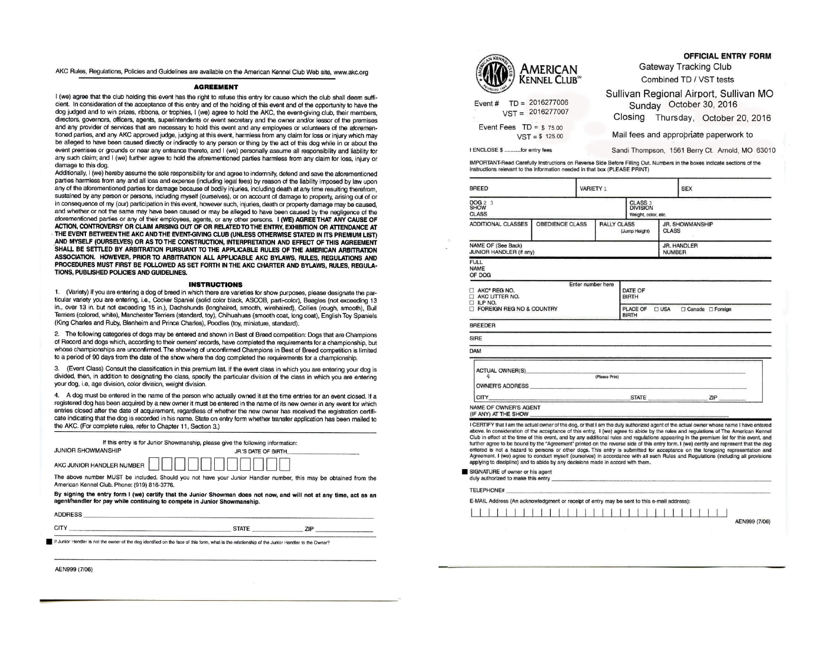AKC Rules, Regulations, Policies and Guidelines are available on the American Kennel Club Web site, www.akc.org

#### **AGREEMENT**

I (we) agree that the club holding this event has the right to refuse this entry for cause which the club shall deem sufficient. In consideration of the acceptance of this entry and of the holding of this event and of the opportunity to have the dog judged and to win prizes, ribbons, or trophies, I (we) agree to hold the AKC, the event-giving club, their members, directors, governors, officers, agents, superintendents or event secretary and the owner and/or lessor of the premises and any provider of services that are necessary to hold this event and any employees or volunteers of the aforementioned parties, and any AKC approved judge, judging at this event, harmless from any claim for loss or injury which may be alleged to have been caused directly or indirectly to any person or thing by the act of this dog while in or about the event premises or grounds or near any entrance thereto, and I (we) personally assume all responsibility and liability for any such claim; and I (we) further agree to hold the aforementioned parties harmless from any claim for loss, injury or damage to this dog.

Additionally, I (we) hereby assume the sole responsibility for and agree to indemnify, defend and saye the aforementioned parties harmless from any and all loss and expense (including legal fees) by reason of the liability imposed by law upon any of the aforementioned parties for damage because of bodily injuries, including death at any time resulting therefrom. sustained by any person or persons, including myself (ourselves), or on account of damage to property, arising out of or in consequence of my (our) participation in this event, however such, injuries, death or property damage may be caused, and whether or not the same may have been caused or may be alleged to have been caused by the negligence of the aforementioned parties or any of their employees, agents, or any other persons. I (WE) AGREE THAT ANY CAUSE OF ACTION, CONTROVERSY OR CLAIM ARISING OUT OF OR RELATED TO THE ENTRY, EXHIBITION OR ATTENDANCE AT THE EVENT BETWEEN THE AKC AND THE EVENT-GIVING CLUB (UNLESS OTHERWISE STATED IN ITS PREMIUM LIST) AND MYSELF (OURSELVES) OR AS TO THE CONSTRUCTION. INTERPRETATION AND EFFECT OF THIS AGREEMENT SHALL BE SETTLED BY ARBITRATION PURSUANT TO THE APPLICABLE RULES OF THE AMERICAN ARBITRATION ASSOCIATION. HOWEVER, PRIOR TO ARBITRATION ALL APPLICABLE AKC BYLAWS, RULES, REGULATIONS AND PROCEDURES MUST FIRST BE FOLLOWED AS SET FORTH IN THE AKC CHARTER AND BYLAWS, RULES, REGULA-TIONS. PUBLISHED POLICIES AND GUIDELINES.

### **INSTRUCTIONS**

1. (Variety) if you are entering a dog of breed in which there are varieties for show purposes, please designate the particular variety you are entering, i.e., Cocker Spaniel (solid color black, ASCOB, parti-color), Beagles (not exceeding 13 in., over 13 in. but not exceeding 15 in.), Dachshunds (longhaired, smooth, wirehaired), Collies (rough, smooth), Bull Terriers (colored, white), Manchester Terriers (standard, toy), Chihuahuas (smooth coat, long coat), English Toy Spaniels (King Charles and Ruby, Blenheim and Prince Charles), Poodles (toy, miniature, standard).

2. The following categories of dogs may be entered and shown in Best of Breed competition: Dogs that are Champions of Record and dogs which, according to their owners' records, have completed the requirements for a championship, but whose championships are unconfirmed. The showing of unconfirmed Champions in Best of Breed competition is limited to a period of 90 days from the date of the show where the dog completed the requirements for a championship.

3. (Event Class) Consult the classification in this premium list. If the event class in which you are entering your dog is divided, then, in addition to designating the class, specify the particular division of the class in which you are entering your dog, i.e, age division, color division, weight division.

4. A dog must be entered in the name of the person who actually owned it at the time entries for an event closed. If a registered dog has been acquired by a new owner it must be entered in the name of its new owner in any event for which entries closed after the date of acquirement, regardless of whether the new owner has received the registration certificate indicating that the dog is recorded in his name. State on entry form whether transfer application has been mailed to the AKC. (For complete rules, refer to Chapter 11, Section 3.)

|                                                                          | If this entry is for Junior Showmanship, please give the following information:                                    |
|--------------------------------------------------------------------------|--------------------------------------------------------------------------------------------------------------------|
| <b>JUNIOR SHOWMANSHIP</b>                                                | JR'S DATE OF BIRTH                                                                                                 |
| AKC JUNIOR HANDLER NUMBER                                                |                                                                                                                    |
| American Kennel Club. Phone: (919) 816-3776.                             | The above number MUST be included. Should you not have your Junior Handler number, this may be obtained from the   |
| agent/handler for pay while continuing to compete in Junior Showmanship. | By signing the entry form I (we) certify that the Junior Showman does not now, and will not at any time, act as an |
| <b>ADDRESS</b>                                                           |                                                                                                                    |

**STATE** 

**ZIP** 

**CITY** 

AEN999 (7/06)

If Junior Handler is not the owner of the dog identified on the face of this form, what is the relationship of the Junior Handler to the Owner?



Event #  $TD = 2016277006$ 

Event Fees  $TD = $75.00$ 

 $VST = 2016277007$ 

 $VST = $ 125.00$ 

# Combined TD / VST tests

Sullivan Regional Airport, Sullivan MO Sunday October 30, 2016 Closing Thursday, October 20, 2016

Sandi Thompson, 1561 Berry Ct. Arnold, MO 63010

Gateway Tracking Club

**OFFICIAL ENTRY FORM** 

Mail fees and appropriate paperwork to

I ENCLOSE \$ ...........for entry fees

IMPORTANT-Read Carefully Instructions on Reverse Side Before Filling Out. Numbers in the boxes indicate sections of the instructions relevant to the information needed in that box (PLEASE PRINT)

| <b>BREED</b>                                                                                                                                                                                                                                                                        | <b>VARIETY 1</b>                             |                   |                                |                                                              | <b>SEX</b>             |                                                                                                                                                                                                                                                                                                                                                                                                                                                                                                                                                                                                                                                                                                                                                                                                                                       |
|-------------------------------------------------------------------------------------------------------------------------------------------------------------------------------------------------------------------------------------------------------------------------------------|----------------------------------------------|-------------------|--------------------------------|--------------------------------------------------------------|------------------------|---------------------------------------------------------------------------------------------------------------------------------------------------------------------------------------------------------------------------------------------------------------------------------------------------------------------------------------------------------------------------------------------------------------------------------------------------------------------------------------------------------------------------------------------------------------------------------------------------------------------------------------------------------------------------------------------------------------------------------------------------------------------------------------------------------------------------------------|
| DOG 2 3<br>SHOW<br><b>CLASS</b>                                                                                                                                                                                                                                                     |                                              |                   |                                | CLASS <sub>3</sub><br><b>DIVISION</b><br>Weight, color, etc. |                        |                                                                                                                                                                                                                                                                                                                                                                                                                                                                                                                                                                                                                                                                                                                                                                                                                                       |
| <b>ADDITIONAL CLASSES</b>                                                                                                                                                                                                                                                           | <b>OBEDIENCE CLASS</b><br><b>RALLY CLASS</b> |                   | (Jump Height)                  | <b>CLASS</b>                                                 | <b>JR. SHOWMANSHIP</b> |                                                                                                                                                                                                                                                                                                                                                                                                                                                                                                                                                                                                                                                                                                                                                                                                                                       |
| NAME OF (See Back)<br>JUNIOR HANDLER (if any)                                                                                                                                                                                                                                       |                                              |                   |                                |                                                              | <b>NUMBER</b>          | JR. HANDLER                                                                                                                                                                                                                                                                                                                                                                                                                                                                                                                                                                                                                                                                                                                                                                                                                           |
| <b>FULL</b><br><b>NAME</b><br>OF DOG                                                                                                                                                                                                                                                |                                              |                   |                                |                                                              |                        |                                                                                                                                                                                                                                                                                                                                                                                                                                                                                                                                                                                                                                                                                                                                                                                                                                       |
| AKC <sup>®</sup> REG NO.<br>AKC LITTER NO.                                                                                                                                                                                                                                          |                                              | Enter number here |                                | DATE OF<br><b>BIRTH</b>                                      |                        |                                                                                                                                                                                                                                                                                                                                                                                                                                                                                                                                                                                                                                                                                                                                                                                                                                       |
| $\Box$ ILP NO.<br><b>T FOREIGN REG NO &amp; COUNTRY</b>                                                                                                                                                                                                                             |                                              |                   | PLACE OF □ USA<br><b>BIRTH</b> |                                                              | □ Canada □ Foreign     |                                                                                                                                                                                                                                                                                                                                                                                                                                                                                                                                                                                                                                                                                                                                                                                                                                       |
| <b>BREEDER</b>                                                                                                                                                                                                                                                                      |                                              |                   |                                |                                                              |                        |                                                                                                                                                                                                                                                                                                                                                                                                                                                                                                                                                                                                                                                                                                                                                                                                                                       |
| <b>SIRE</b>                                                                                                                                                                                                                                                                         |                                              |                   |                                |                                                              |                        |                                                                                                                                                                                                                                                                                                                                                                                                                                                                                                                                                                                                                                                                                                                                                                                                                                       |
|                                                                                                                                                                                                                                                                                     |                                              |                   |                                |                                                              |                        |                                                                                                                                                                                                                                                                                                                                                                                                                                                                                                                                                                                                                                                                                                                                                                                                                                       |
| <b>DAM</b>                                                                                                                                                                                                                                                                          |                                              |                   |                                |                                                              |                        |                                                                                                                                                                                                                                                                                                                                                                                                                                                                                                                                                                                                                                                                                                                                                                                                                                       |
| $\operatorname{ACTUAL}$ OWNER(S) $($ Please Print)<br>OWNER'S ADDRESS AND ALL AND A CONTROL CONTROL CONTROL CONTROL CONTROL CONTROL CONTROL CONTROL CONTROL CONTROL CONTROL CONTROL CONTROL CONTROL CONTROL CONTROL CONTROL CONTROL CONTROL CONTROL CONTROL CONTROL CONTROL CONTROL |                                              |                   |                                |                                                              |                        |                                                                                                                                                                                                                                                                                                                                                                                                                                                                                                                                                                                                                                                                                                                                                                                                                                       |
|                                                                                                                                                                                                                                                                                     |                                              |                   |                                |                                                              |                        |                                                                                                                                                                                                                                                                                                                                                                                                                                                                                                                                                                                                                                                                                                                                                                                                                                       |
| NAME OF OWNER'S AGENT<br>(IF ANY) AT THE SHOW                                                                                                                                                                                                                                       |                                              |                   |                                |                                                              |                        |                                                                                                                                                                                                                                                                                                                                                                                                                                                                                                                                                                                                                                                                                                                                                                                                                                       |
| applying to discipline) and to abide by any decisions made in accord with them.                                                                                                                                                                                                     |                                              |                   |                                |                                                              |                        | I CERTIFY that I am the actual owner of the dog, or that I am the duly authorized agent of the actual owner whose name I have entered<br>above. In consideration of the acceptance of this entry, I (we) agree to abide by the rules and regulations of The American Kennel<br>Club in effect at the time of this event, and by any additional rules and regulations appearing in the premium list for this event, and<br>further agree to be bound by the "Agreement" printed on the reverse side of this entry form. I (we) certify and represent that the dog<br>entered is not a hazard to persons or other dogs. This entry is submitted for acceptance on the foregoing representation and<br>Agreement. I (we) agree to conduct myself (ourselves) in accordance with all such Rules and Regulations (including all provisions |
| SIGNATURE of owner or his agent                                                                                                                                                                                                                                                     |                                              |                   |                                |                                                              |                        |                                                                                                                                                                                                                                                                                                                                                                                                                                                                                                                                                                                                                                                                                                                                                                                                                                       |
| TELEPHONE#                                                                                                                                                                                                                                                                          |                                              |                   |                                |                                                              |                        |                                                                                                                                                                                                                                                                                                                                                                                                                                                                                                                                                                                                                                                                                                                                                                                                                                       |
| E-MAIL Address (An acknowledgment or receipt of entry may be sent to this e-mail address):                                                                                                                                                                                          |                                              |                   |                                |                                                              |                        |                                                                                                                                                                                                                                                                                                                                                                                                                                                                                                                                                                                                                                                                                                                                                                                                                                       |
|                                                                                                                                                                                                                                                                                     |                                              |                   |                                |                                                              |                        |                                                                                                                                                                                                                                                                                                                                                                                                                                                                                                                                                                                                                                                                                                                                                                                                                                       |